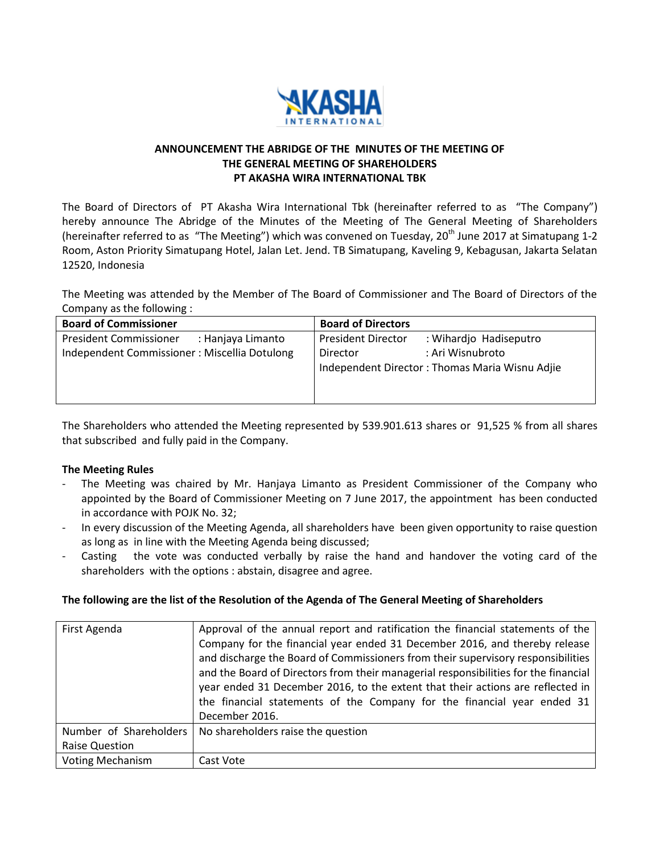

## **ANNOUNCEMENT THE ABRIDGE OF THE MINUTES OF THE MEETING OF THE GENERAL MEETING OF SHAREHOLDERS PT AKASHA WIRA INTERNATIONAL TBK**

The Board of Directors of PT Akasha Wira International Tbk (hereinafter referred to as "The Company") hereby announce The Abridge of the Minutes of the Meeting of The General Meeting of Shareholders (hereinafter referred to as "The Meeting") which was convened on Tuesday, 20<sup>th</sup> June 2017 at Simatupang 1-2 Room, Aston Priority Simatupang Hotel, Jalan Let. Jend. TB Simatupang, Kaveling 9, Kebagusan, Jakarta Selatan 12520, Indonesia

The Meeting was attended by the Member of The Board of Commissioner and The Board of Directors of the Company as the following :

| <b>Board of Commissioner</b>                       | <b>Board of Directors</b>                           |
|----------------------------------------------------|-----------------------------------------------------|
| <b>President Commissioner</b><br>: Hanjaya Limanto | <b>President Director</b><br>: Wihardjo Hadiseputro |
| Independent Commissioner: Miscellia Dotulong       | : Ari Wisnubroto<br>Director                        |
|                                                    | Independent Director: Thomas Maria Wisnu Adjie      |
|                                                    |                                                     |
|                                                    |                                                     |

The Shareholders who attended the Meeting represented by 539.901.613 shares or 91,525 % from all shares that subscribed and fully paid in the Company.

## **The Meeting Rules**

- The Meeting was chaired by Mr. Hanjaya Limanto as President Commissioner of the Company who appointed by the Board of Commissioner Meeting on 7 June 2017, the appointment has been conducted in accordance with POJK No. 32;
- In every discussion of the Meeting Agenda, all shareholders have been given opportunity to raise question as long as in line with the Meeting Agenda being discussed;
- Casting the vote was conducted verbally by raise the hand and handover the voting card of the shareholders with the options : abstain, disagree and agree.

## **The following are the list of the Resolution of the Agenda of The General Meeting of Shareholders**

| First Agenda            | Approval of the annual report and ratification the financial statements of the<br>Company for the financial year ended 31 December 2016, and thereby release |
|-------------------------|--------------------------------------------------------------------------------------------------------------------------------------------------------------|
|                         | and discharge the Board of Commissioners from their supervisory responsibilities                                                                             |
|                         | and the Board of Directors from their managerial responsibilities for the financial                                                                          |
|                         | year ended 31 December 2016, to the extent that their actions are reflected in                                                                               |
|                         | the financial statements of the Company for the financial year ended 31                                                                                      |
|                         | December 2016.                                                                                                                                               |
| Number of Shareholders  | No shareholders raise the question                                                                                                                           |
| <b>Raise Question</b>   |                                                                                                                                                              |
| <b>Voting Mechanism</b> | Cast Vote                                                                                                                                                    |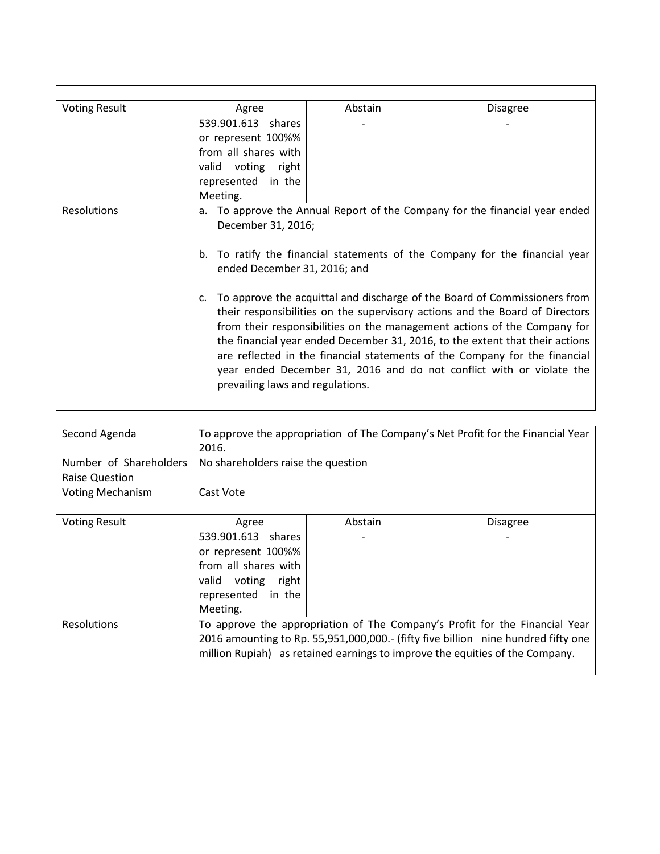| <b>Voting Result</b> | Agree                                                                                                          | Abstain | <b>Disagree</b> |
|----------------------|----------------------------------------------------------------------------------------------------------------|---------|-----------------|
|                      | 539.901.613 shares                                                                                             |         |                 |
|                      | or represent 100%%                                                                                             |         |                 |
|                      | from all shares with                                                                                           |         |                 |
|                      | valid voting right                                                                                             |         |                 |
|                      | represented in the                                                                                             |         |                 |
|                      | Meeting.                                                                                                       |         |                 |
| Resolutions          | To approve the Annual Report of the Company for the financial year ended<br>a.                                 |         |                 |
|                      | December 31, 2016;                                                                                             |         |                 |
|                      |                                                                                                                |         |                 |
|                      | To ratify the financial statements of the Company for the financial year<br>b.<br>ended December 31, 2016; and |         |                 |
|                      |                                                                                                                |         |                 |
|                      | To approve the acquittal and discharge of the Board of Commissioners from<br>c.                                |         |                 |
|                      | their responsibilities on the supervisory actions and the Board of Directors                                   |         |                 |
|                      | from their responsibilities on the management actions of the Company for                                       |         |                 |
|                      | the financial year ended December 31, 2016, to the extent that their actions                                   |         |                 |
|                      | are reflected in the financial statements of the Company for the financial                                     |         |                 |
|                      | year ended December 31, 2016 and do not conflict with or violate the                                           |         |                 |
|                      | prevailing laws and regulations.                                                                               |         |                 |
|                      |                                                                                                                |         |                 |
|                      |                                                                                                                |         |                 |

| Second Agenda                                   | To approve the appropriation of The Company's Net Profit for the Financial Year<br>2016.                                                                                                                                                         |         |                 |
|-------------------------------------------------|--------------------------------------------------------------------------------------------------------------------------------------------------------------------------------------------------------------------------------------------------|---------|-----------------|
| Number of Shareholders<br><b>Raise Question</b> | No shareholders raise the question                                                                                                                                                                                                               |         |                 |
| <b>Voting Mechanism</b>                         | Cast Vote                                                                                                                                                                                                                                        |         |                 |
| <b>Voting Result</b>                            | Agree<br>539.901.613 shares<br>or represent 100%%<br>from all shares with<br>valid voting right<br>represented in the<br>Meeting.                                                                                                                | Abstain | <b>Disagree</b> |
| <b>Resolutions</b>                              | To approve the appropriation of The Company's Profit for the Financial Year<br>2016 amounting to Rp. 55,951,000,000.- (fifty five billion nine hundred fifty one<br>million Rupiah) as retained earnings to improve the equities of the Company. |         |                 |